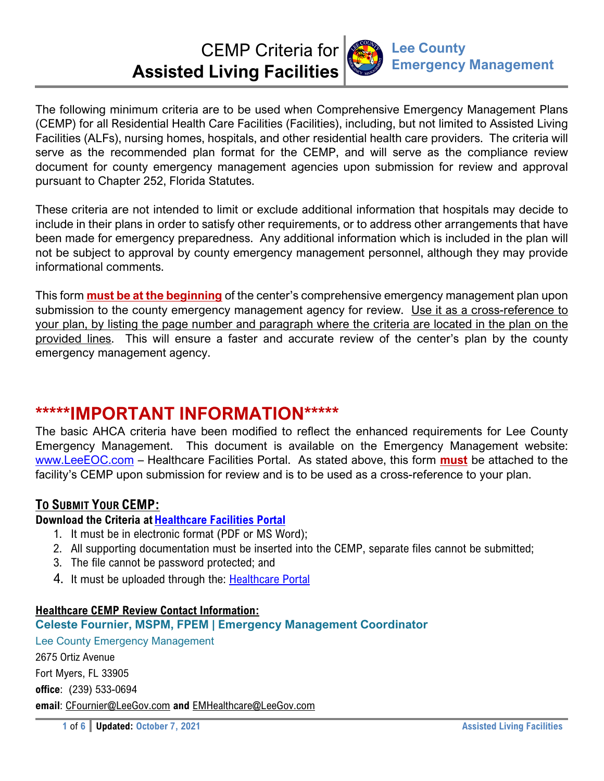

The following minimum criteria are to be used when Comprehensive Emergency Management Plans (CEMP) for all Residential Health Care Facilities (Facilities), including, but not limited to Assisted Living Facilities (ALFs), nursing homes, hospitals, and other residential health care providers. The criteria will serve as the recommended plan format for the CEMP, and will serve as the compliance review document for county emergency management agencies upon submission for review and approval pursuant to Chapter 252, Florida Statutes.

These criteria are not intended to limit or exclude additional information that hospitals may decide to include in their plans in order to satisfy other requirements, or to address other arrangements that have been made for emergency preparedness. Any additional information which is included in the plan will not be subject to approval by county emergency management personnel, although they may provide informational comments.

This form **must be at the beginning** of the center's comprehensive emergency management plan upon submission to the county emergency management agency for review. Use it as a cross-reference to your plan, by listing the page number and paragraph where the criteria are located in the plan on the provided lines. This will ensure a faster and accurate review of the center's plan by the county emergency management agency.

# **\*\*\*\*\*IMPORTANT INFORMATION\*\*\*\*\***

The basic AHCA criteria have been modified to reflect the enhanced requirements for Lee County Emergency Management. This document is available on the Emergency Management website: www.LeeEOC.com – Healthcare Facilities Portal. As stated above, this form **must** be attached to the facility's CEMP upon submission for review and is to be used as a cross-reference to your plan.

## **TO SUBMIT YOUR CEMP:**

## **Download the Criteria at Healthcare Facilities Portal**

- 1. It must be in electronic format (PDF or MS Word);
- 2. All supporting documentation must be inserted into the CEMP, separate files cannot be submitted;
- 3. The file cannot be password protected; and
- 4. It must be uploaded through the: Healthcare Portal

## **Healthcare CEMP Review Contact Information:**

## **Celeste Fournier, MSPM, FPEM | Emergency Management Coordinator**

Lee County Emergency Management 2675 Ortiz Avenue Fort Myers, FL 33905 **office**: (239) 533-0694 **email**: CFournier@LeeGov.com **and** EMHealthcare@LeeGov.com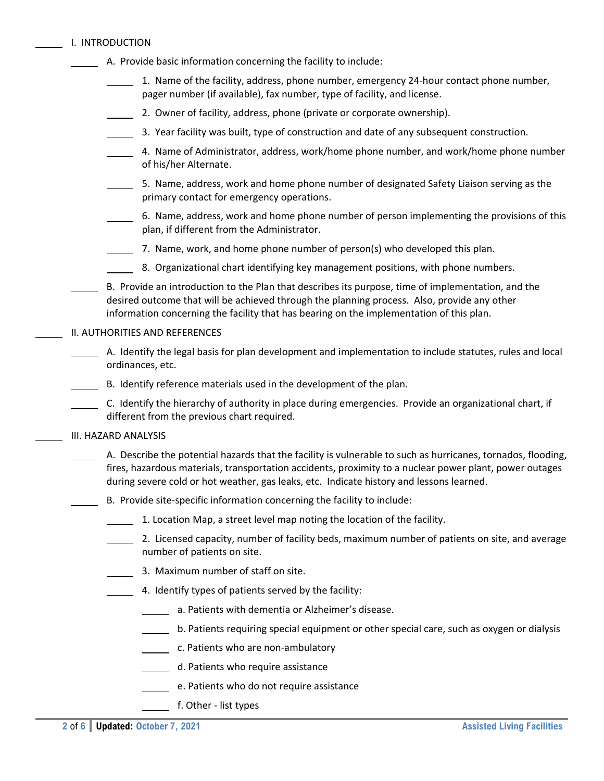|  | I. INTRODUCTION |
|--|-----------------|
|  |                 |

- A. Provide basic information concerning the facility to include:
	- 1. Name of the facility, address, phone number, emergency 24‐hour contact phone number, pager number (if available), fax number, type of facility, and license.
	- 2. Owner of facility, address, phone (private or corporate ownership).
	- 3. Year facility was built, type of construction and date of any subsequent construction.
	- 4. Name of Administrator, address, work/home phone number, and work/home phone number of his/her Alternate.
	- 5. Name, address, work and home phone number of designated Safety Liaison serving as the primary contact for emergency operations.
	- 6. Name, address, work and home phone number of person implementing the provisions of this plan, if different from the Administrator.
	- 7. Name, work, and home phone number of  $person(s)$  who developed this plan.
	- 8. Organizational chart identifying key management positions, with phone numbers.
- B. Provide an introduction to the Plan that describes its purpose, time of implementation, and the desired outcome that will be achieved through the planning process. Also, provide any other information concerning the facility that has bearing on the implementation of this plan.

#### II. AUTHORITIES AND REFERENCES

- A. Identify the legal basis for plan development and implementation to include statutes, rules and local ordinances, etc.
- B. Identify reference materials used in the development of the plan.
- C. Identify the hierarchy of authority in place during emergencies. Provide an organizational chart, if different from the previous chart required.

#### III. HAZARD ANALYSIS

- A. Describe the potential hazards that the facility is vulnerable to such as hurricanes, tornados, flooding, fires, hazardous materials, transportation accidents, proximity to a nuclear power plant, power outages during severe cold or hot weather, gas leaks, etc. Indicate history and lessons learned.
	- B. Provide site‐specific information concerning the facility to include:
	- 1. Location Map, a street level map noting the location of the facility.
	- 2. Licensed capacity, number of facility beds, maximum number of patients on site, and average number of patients on site.
	- 3. Maximum number of staff on site.
	- $\blacksquare$  4. Identify types of patients served by the facility:
		- a. Patients with dementia or Alzheimer's disease.
		- **b. Patients requiring special equipment or other special care, such as oxygen or dialysis**
		- **c.** Patients who are non-ambulatory
		- d. Patients who require assistance
			- e. Patients who do not require assistance
			- f. Other ‐ list types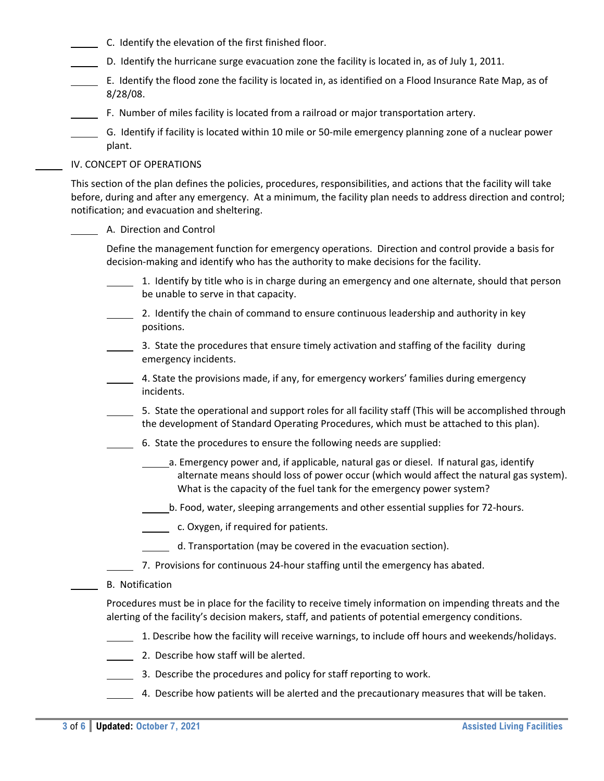- C. Identify the elevation of the first finished floor.
- D. Identify the hurricane surge evacuation zone the facility is located in, as of July 1, 2011.
- E. Identify the flood zone the facility is located in, as identified on a Flood Insurance Rate Map, as of 8/28/08.
- F. Number of miles facility is located from a railroad or major transportation artery.
- G. Identify if facility is located within 10 mile or 50‐mile emergency planning zone of a nuclear power plant.

#### IV. CONCEPT OF OPERATIONS

This section of the plan defines the policies, procedures, responsibilities, and actions that the facility will take before, during and after any emergency. At a minimum, the facility plan needs to address direction and control; notification; and evacuation and sheltering.

#### A. Direction and Control

Define the management function for emergency operations. Direction and control provide a basis for decision‐making and identify who has the authority to make decisions for the facility.

- 1. Identify by title who is in charge during an emergency and one alternate, should that person be unable to serve in that capacity.
- 2. Identify the chain of command to ensure continuous leadership and authority in key positions.
- 3. State the procedures that ensure timely activation and staffing of the facility during emergency incidents.
- 4. State the provisions made, if any, for emergency workers' families during emergency incidents.
- 5. State the operational and support roles for all facility staff (This will be accomplished through the development of Standard Operating Procedures, which must be attached to this plan).
- 6. State the procedures to ensure the following needs are supplied:
	- a. Emergency power and, if applicable, natural gas or diesel. If natural gas, identify alternate means should loss of power occur (which would affect the natural gas system). What is the capacity of the fuel tank for the emergency power system?
	- b. Food, water, sleeping arrangements and other essential supplies for 72‐hours.
	- **c.** Oxygen, if required for patients.
	- **1** d. Transportation (may be covered in the evacuation section).
	- 7. Provisions for continuous 24-hour staffing until the emergency has abated.

#### B. Notification

Procedures must be in place for the facility to receive timely information on impending threats and the alerting of the facility's decision makers, staff, and patients of potential emergency conditions.

- 1. Describe how the facility will receive warnings, to include off hours and weekends/holidays.
- 2. Describe how staff will be alerted.
- 3. Describe the procedures and policy for staff reporting to work.
- 4. Describe how patients will be alerted and the precautionary measures that will be taken.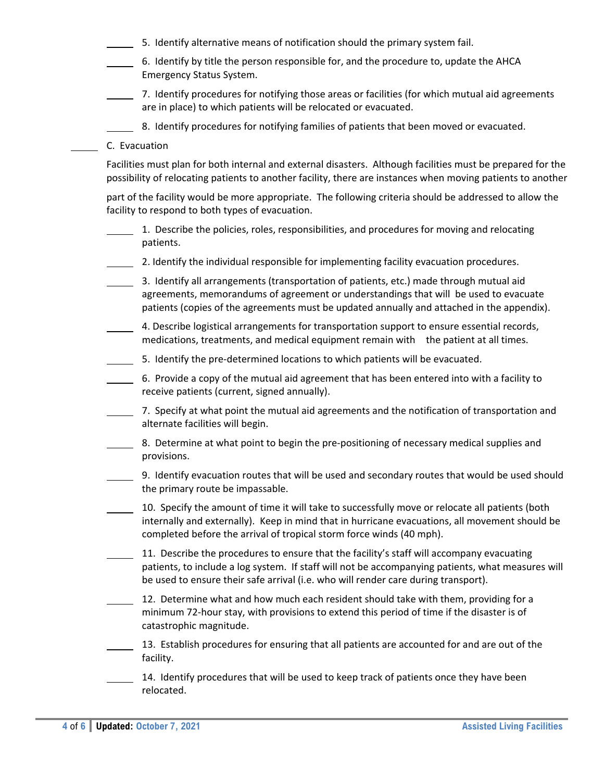- 5. Identify alternative means of notification should the primary system fail.
- 6. Identify by title the person responsible for, and the procedure to, update the AHCA Emergency Status System.
- 7. Identify procedures for notifying those areas or facilities (for which mutual aid agreements are in place) to which patients will be relocated or evacuated.
	- 8. Identify procedures for notifying families of patients that been moved or evacuated.
- C. Evacuation

Facilities must plan for both internal and external disasters. Although facilities must be prepared for the possibility of relocating patients to another facility, there are instances when moving patients to another

part of the facility would be more appropriate. The following criteria should be addressed to allow the facility to respond to both types of evacuation.

- 1. Describe the policies, roles, responsibilities, and procedures for moving and relocating patients.
- 2. Identify the individual responsible for implementing facility evacuation procedures.
- 3. Identify all arrangements (transportation of patients, etc.) made through mutual aid agreements, memorandums of agreement or understandings that will be used to evacuate patients (copies of the agreements must be updated annually and attached in the appendix).
- 4. Describe logistical arrangements for transportation support to ensure essential records, medications, treatments, and medical equipment remain with the patient at all times.
- 5. Identify the pre-determined locations to which patients will be evacuated.
- 6. Provide a copy of the mutual aid agreement that has been entered into with a facility to receive patients (current, signed annually).
- 7. Specify at what point the mutual aid agreements and the notification of transportation and alternate facilities will begin.
- 8. Determine at what point to begin the pre‐positioning of necessary medical supplies and provisions.
- 9. Identify evacuation routes that will be used and secondary routes that would be used should the primary route be impassable.
- 10. Specify the amount of time it will take to successfully move or relocate all patients (both internally and externally). Keep in mind that in hurricane evacuations, all movement should be completed before the arrival of tropical storm force winds (40 mph).
- $\Box$  11. Describe the procedures to ensure that the facility's staff will accompany evacuating patients, to include a log system. If staff will not be accompanying patients, what measures will be used to ensure their safe arrival (i.e. who will render care during transport).
- 12. Determine what and how much each resident should take with them, providing for a minimum 72‐hour stay, with provisions to extend this period of time if the disaster is of catastrophic magnitude.
- 13. Establish procedures for ensuring that all patients are accounted for and are out of the facility.
- 14. Identify procedures that will be used to keep track of patients once they have been relocated.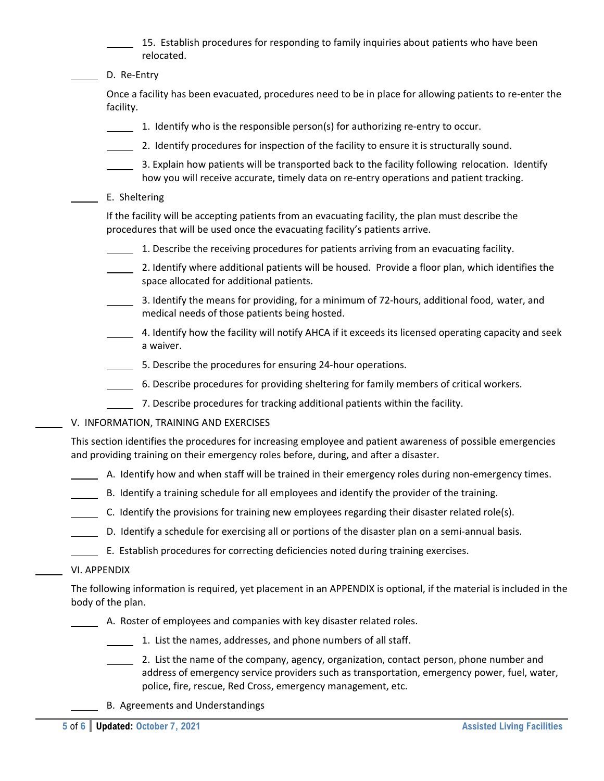15. Establish procedures for responding to family inquiries about patients who have been relocated.

D. Re-Entry

Once a facility has been evacuated, procedures need to be in place for allowing patients to re‐enter the facility.

- 1. Identify who is the responsible person(s) for authorizing re‐entry to occur.
- 2. Identify procedures for inspection of the facility to ensure it is structurally sound.
- 3. Explain how patients will be transported back to the facility following relocation. Identify how you will receive accurate, timely data on re-entry operations and patient tracking.
- E. Sheltering

If the facility will be accepting patients from an evacuating facility, the plan must describe the procedures that will be used once the evacuating facility's patients arrive.

- 1. Describe the receiving procedures for patients arriving from an evacuating facility.
- 2. Identify where additional patients will be housed. Provide a floor plan, which identifies the space allocated for additional patients.
- 3. Identify the means for providing, for a minimum of 72‐hours, additional food, water, and medical needs of those patients being hosted.
- 4. Identify how the facility will notify AHCA if it exceeds its licensed operating capacity and seek a waiver.
- 5. Describe the procedures for ensuring 24‐hour operations.
- 6. Describe procedures for providing sheltering for family members of critical workers.
- 7. Describe procedures for tracking additional patients within the facility.
- V. INFORMATION, TRAINING AND EXERCISES

This section identifies the procedures for increasing employee and patient awareness of possible emergencies and providing training on their emergency roles before, during, and after a disaster.

- A. Identify how and when staff will be trained in their emergency roles during non‐emergency times.
- B. Identify a training schedule for all employees and identify the provider of the training.
- C. Identify the provisions for training new employees regarding their disaster related role(s).
- D. Identify a schedule for exercising all or portions of the disaster plan on a semi-annual basis.
	- E. Establish procedures for correcting deficiencies noted during training exercises.
- VI. APPENDIX

The following information is required, yet placement in an APPENDIX is optional, if the material is included in the body of the plan.

- A. Roster of employees and companies with key disaster related roles.
	- 1. List the names, addresses, and phone numbers of all staff.
		- 2. List the name of the company, agency, organization, contact person, phone number and address of emergency service providers such as transportation, emergency power, fuel, water, police, fire, rescue, Red Cross, emergency management, etc.
	- B. Agreements and Understandings